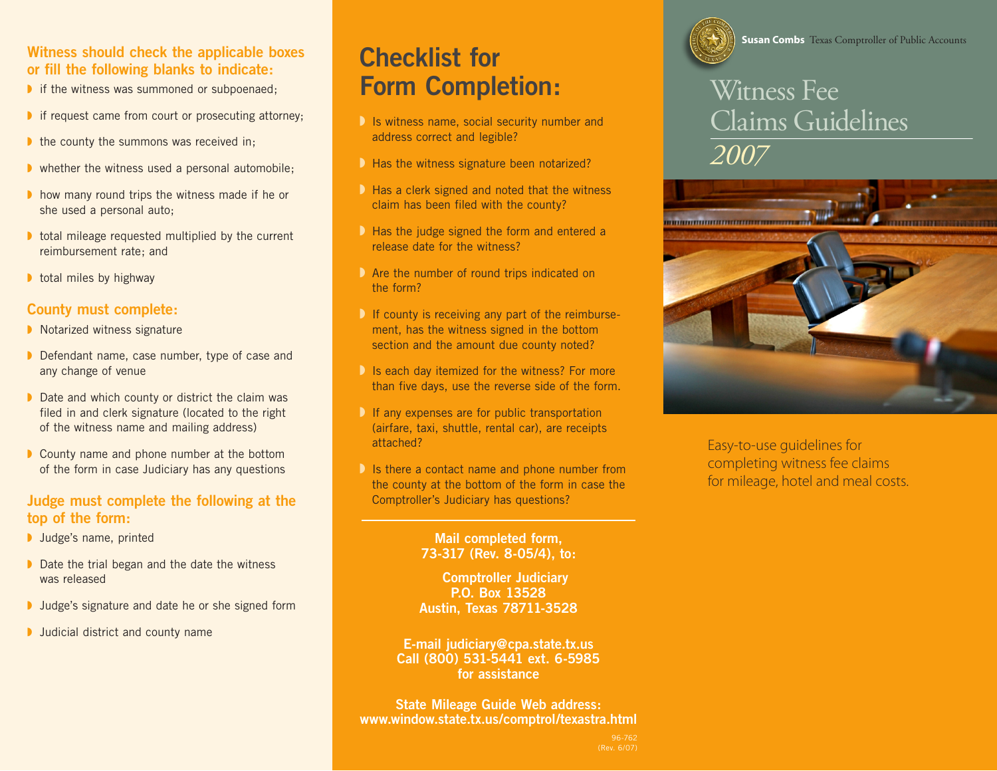#### **Witness should check the applicable boxes or fill the following blanks to indicate:**

- ◗ if the witness was summoned or subpoenaed;
- ◗ if request came from court or prosecuting attorney;
- ◗ the county the summons was received in;
- ◗ whether the witness used a personal automobile;
- ◗ how many round trips the witness made if he or she used a personal auto;
- ◗ total mileage requested multiplied by the current reimbursement rate; and
- total miles by highway

#### **County must complete:**

- ◗ Notarized witness signature
- ◗ Defendant name, case number, type of case and any change of venue
- ◗ Date and which county or district the claim was filed in and clerk signature (located to the right of the witness name and mailing address)
- ◗ County name and phone number at the bottom of the form in case Judiciary has any questions

#### **Judge must complete the following at the top of the form:**

- ◗ Judge's name, printed
- ◗ Date the trial began and the date the witness was released
- ◗ Judge's signature and date he or she signed form
- ◗ Judicial district and county name

## **Checklist for Form Completion:**

- **D** Is witness name, social security number and address correct and legible?
- ◗ Has the witness signature been notarized?
- ◗ Has a clerk signed and noted that the witness claim has been filed with the county?
- **D** Has the judge signed the form and entered a release date for the witness?
- ◗ Are the number of round trips indicated on the form?
- **D** If county is receiving any part of the reimbursement, has the witness signed in the bottom section and the amount due county noted?
- **D** Is each day itemized for the witness? For more than five days, use the reverse side of the form.
- **D** If any expenses are for public transportation (airfare, taxi, shuttle, rental car), are receipts attached?
- **D** Is there a contact name and phone number from the county at the bottom of the form in case the Comptroller's Judiciary has questions?

#### **Mail completed form, 73-317 (Rev. 8-05/4), to:**

 **Comptroller Judiciary P.O. Box 13528 Austin, Texas 78711-3528**

**E-mail judiciary@cpa.state.tx.us Call (800) 531-5441 ext. 6-5985 for assistance**

**State Mileage Guide Web address: www.window.state.tx.us/comptrol/texastra.html**



# Witness Fee Claims Guidelines *2007*



Easy-to-use guidelines for completing witness fee claims for mileage, hotel and meal costs.